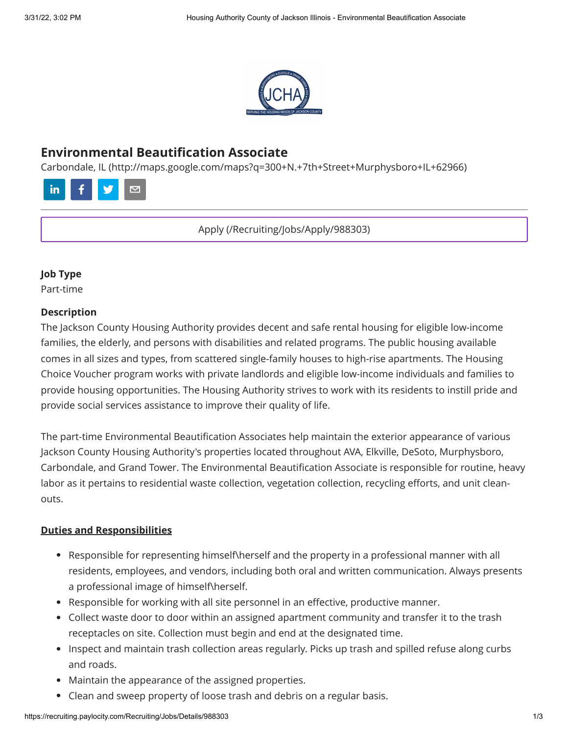

# **Environmental Beautification Associate**

[Carbondale, IL \(http://maps.google.com/maps?q=300+N.+7th+Street+Murphysboro+IL+62966\)](http://maps.google.com/maps?q=300+N.+7th+Street+Murphysboro+IL+62966)



[Apply \(/Recruiting/Jobs/Apply/988303\)](https://recruiting.paylocity.com/Recruiting/Jobs/Apply/988303)

#### **Job Type**

Part-time

#### **Description**

The Jackson County Housing Authority provides decent and safe rental housing for eligible low-income families, the elderly, and persons with disabilities and related programs. The public housing available comes in all sizes and types, from scattered single-family houses to high-rise apartments. The Housing Choice Voucher program works with private landlords and eligible low-income individuals and families to provide housing opportunities. The Housing Authority strives to work with its residents to instill pride and provide social services assistance to improve their quality of life.

The part-time Environmental Beautification Associates help maintain the exterior appearance of various Jackson County Housing Authority's properties located throughout AVA, Elkville, DeSoto, Murphysboro, Carbondale, and Grand Tower. The Environmental Beautification Associate is responsible for routine, heavy labor as it pertains to residential waste collection, vegetation collection, recycling efforts, and unit cleanouts.

#### **Duties and Responsibilities**

- Responsible for representing himself\herself and the property in a professional manner with all residents, employees, and vendors, including both oral and written communication. Always presents a professional image of himself\herself.
- Responsible for working with all site personnel in an effective, productive manner.
- Collect waste door to door within an assigned apartment community and transfer it to the trash receptacles on site. Collection must begin and end at the designated time.
- Inspect and maintain trash collection areas regularly. Picks up trash and spilled refuse along curbs and roads.
- Maintain the appearance of the assigned properties.
- Clean and sweep property of loose trash and debris on a regular basis.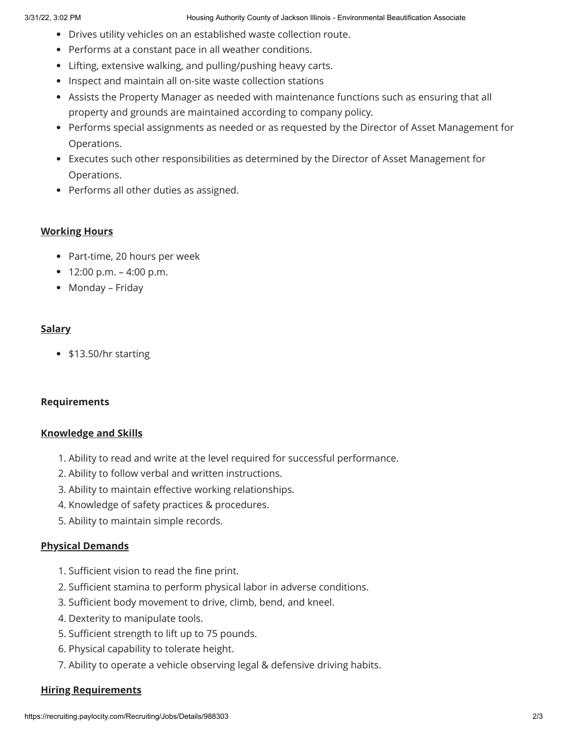- Drives utility vehicles on an established waste collection route.
- Performs at a constant pace in all weather conditions.
- Lifting, extensive walking, and pulling/pushing heavy carts.
- Inspect and maintain all on-site waste collection stations
- Assists the Property Manager as needed with maintenance functions such as ensuring that all property and grounds are maintained according to company policy.
- Performs special assignments as needed or as requested by the Director of Asset Management for Operations.
- Executes such other responsibilities as determined by the Director of Asset Management for Operations.
- Performs all other duties as assigned.

## **Working Hours**

- Part-time, 20 hours per week
- $12:00 \text{ p.m.} 4:00 \text{ p.m.}$
- Monday Friday

# **Salary**

• \$13.50/hr starting

#### **Requirements**

#### **Knowledge and Skills**

- 1. Ability to read and write at the level required for successful performance.
- 2. Ability to follow verbal and written instructions.
- 3. Ability to maintain effective working relationships.
- 4. Knowledge of safety practices & procedures.
- 5. Ability to maintain simple records.

# **Physical Demands**

- 1. Sufficient vision to read the fine print.
- 2. Sufficient stamina to perform physical labor in adverse conditions.
- 3. Sufficient body movement to drive, climb, bend, and kneel.
- 4. Dexterity to manipulate tools.
- 5. Sufficient strength to lift up to 75 pounds.
- 6. Physical capability to tolerate height.
- 7. Ability to operate a vehicle observing legal & defensive driving habits.

#### **Hiring Requirements**